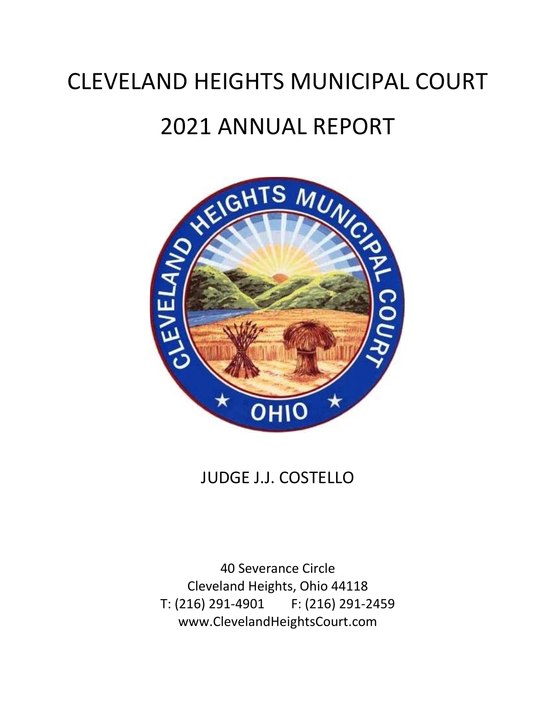# CLEVELAND HEIGHTS MUNICIPAL COURT 2021 ANNUAL REPORT



# JUDGE J.J. COSTELLO

40 Severance Circle Cleveland Heights, Ohio 44118 T: (216) 291-4901 F: (216) 291-2459 www.ClevelandHeightsCourt.com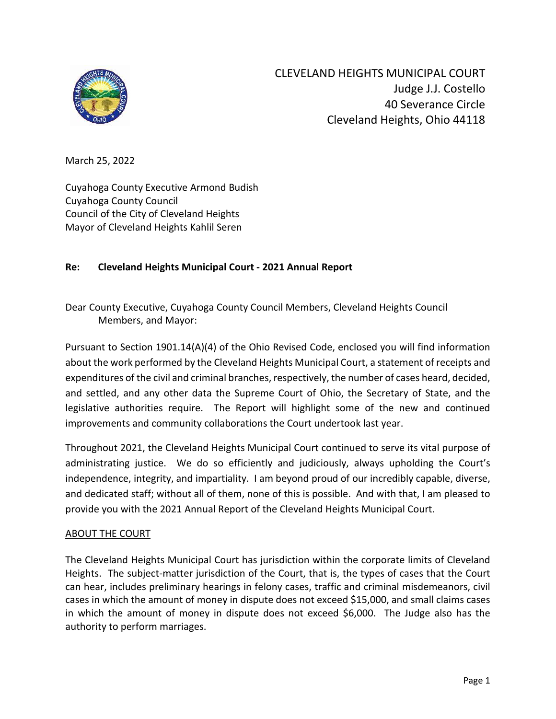

March 25, 2022

Cuyahoga County Executive Armond Budish Cuyahoga County Council Council of the City of Cleveland Heights Mayor of Cleveland Heights Kahlil Seren

# **Re: Cleveland Heights Municipal Court - 2021 Annual Report**

Dear County Executive, Cuyahoga County Council Members, Cleveland Heights Council Members, and Mayor:

Pursuant to Section 1901.14(A)(4) of the Ohio Revised Code, enclosed you will find information about the work performed by the Cleveland Heights Municipal Court, a statement of receipts and expenditures of the civil and criminal branches, respectively, the number of cases heard, decided, and settled, and any other data the Supreme Court of Ohio, the Secretary of State, and the legislative authorities require. The Report will highlight some of the new and continued improvements and community collaborations the Court undertook last year.

Throughout 2021, the Cleveland Heights Municipal Court continued to serve its vital purpose of administrating justice. We do so efficiently and judiciously, always upholding the Court's independence, integrity, and impartiality. I am beyond proud of our incredibly capable, diverse, and dedicated staff; without all of them, none of this is possible. And with that, I am pleased to provide you with the 2021 Annual Report of the Cleveland Heights Municipal Court.

#### ABOUT THE COURT

The Cleveland Heights Municipal Court has jurisdiction within the corporate limits of Cleveland Heights. The subject-matter jurisdiction of the Court, that is, the types of cases that the Court can hear, includes preliminary hearings in felony cases, traffic and criminal misdemeanors, civil cases in which the amount of money in dispute does not exceed \$15,000, and small claims cases in which the amount of money in dispute does not exceed \$6,000. The Judge also has the authority to perform marriages.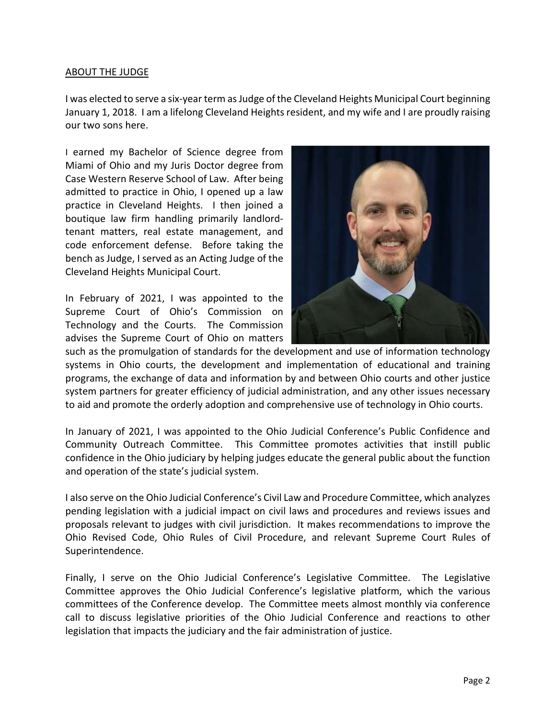#### ABOUT THE JUDGE

I was elected to serve a six-year term as Judge of the Cleveland Heights Municipal Court beginning January 1, 2018. I am a lifelong Cleveland Heights resident, and my wife and I are proudly raising our two sons here.

I earned my Bachelor of Science degree from Miami of Ohio and my Juris Doctor degree from Case Western Reserve School of Law. After being admitted to practice in Ohio, I opened up a law practice in Cleveland Heights. I then joined a boutique law firm handling primarily landlordtenant matters, real estate management, and code enforcement defense. Before taking the bench as Judge, I served as an Acting Judge of the Cleveland Heights Municipal Court.

In February of 2021, I was appointed to the Supreme Court of Ohio's Commission on Technology and the Courts. The Commission advises the Supreme Court of Ohio on matters



such as the promulgation of standards for the development and use of information technology systems in Ohio courts, the development and implementation of educational and training programs, the exchange of data and information by and between Ohio courts and other justice system partners for greater efficiency of judicial administration, and any other issues necessary to aid and promote the orderly adoption and comprehensive use of technology in Ohio courts.

In January of 2021, I was appointed to the Ohio Judicial Conference's Public Confidence and Community Outreach Committee. This Committee promotes activities that instill public confidence in the Ohio judiciary by helping judges educate the general public about the function and operation of the state's judicial system.

I also serve on the Ohio Judicial Conference's Civil Law and Procedure Committee, which analyzes pending legislation with a judicial impact on civil laws and procedures and reviews issues and proposals relevant to judges with civil jurisdiction. It makes recommendations to improve the Ohio Revised Code, Ohio Rules of Civil Procedure, and relevant Supreme Court Rules of Superintendence.

Finally, I serve on the Ohio Judicial Conference's Legislative Committee. The Legislative Committee approves the Ohio Judicial Conference's legislative platform, which the various committees of the Conference develop. The Committee meets almost monthly via conference call to discuss legislative priorities of the Ohio Judicial Conference and reactions to other legislation that impacts the judiciary and the fair administration of justice.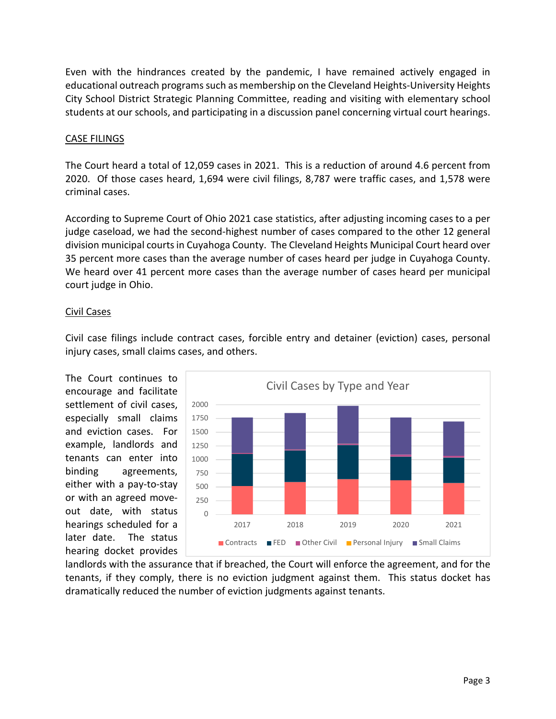Even with the hindrances created by the pandemic, I have remained actively engaged in educational outreach programs such as membership on the Cleveland Heights-University Heights City School District Strategic Planning Committee, reading and visiting with elementary school students at our schools, and participating in a discussion panel concerning virtual court hearings.

#### CASE FILINGS

The Court heard a total of 12,059 cases in 2021. This is a reduction of around 4.6 percent from 2020. Of those cases heard, 1,694 were civil filings, 8,787 were traffic cases, and 1,578 were criminal cases.

According to Supreme Court of Ohio 2021 case statistics, after adjusting incoming cases to a per judge caseload, we had the second-highest number of cases compared to the other 12 general division municipal courts in Cuyahoga County. The Cleveland Heights Municipal Court heard over 35 percent more cases than the average number of cases heard per judge in Cuyahoga County. We heard over 41 percent more cases than the average number of cases heard per municipal court judge in Ohio.

#### Civil Cases



Civil case filings include contract cases, forcible entry and detainer (eviction) cases, personal injury cases, small claims cases, and others.

landlords with the assurance that if breached, the Court will enforce the agreement, and for the tenants, if they comply, there is no eviction judgment against them. This status docket has dramatically reduced the number of eviction judgments against tenants.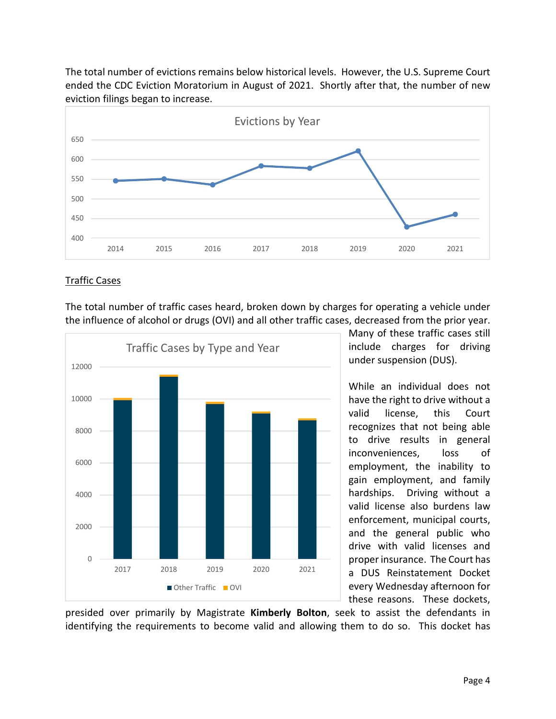The total number of evictions remains below historical levels. However, the U.S. Supreme Court ended the CDC Eviction Moratorium in August of 2021. Shortly after that, the number of new eviction filings began to increase.



#### Traffic Cases

The total number of traffic cases heard, broken down by charges for operating a vehicle under the influence of alcohol or drugs (OVI) and all other traffic cases, decreased from the prior year.



Many of these traffic cases still include charges for driving under suspension (DUS).

While an individual does not have the right to drive without a valid license, this Court recognizes that not being able to drive results in general inconveniences, loss of employment, the inability to gain employment, and family hardships. Driving without a valid license also burdens law enforcement, municipal courts, and the general public who drive with valid licenses and proper insurance. The Court has a DUS Reinstatement Docket every Wednesday afternoon for these reasons. These dockets,

presided over primarily by Magistrate **Kimberly Bolton**, seek to assist the defendants in identifying the requirements to become valid and allowing them to do so. This docket has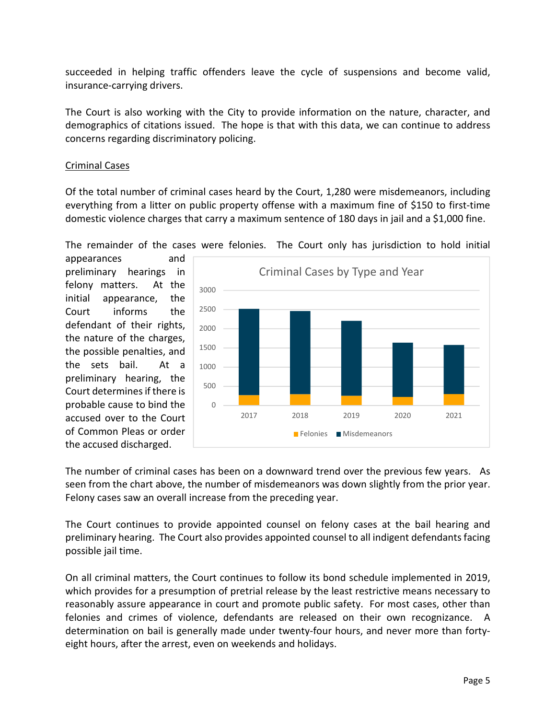succeeded in helping traffic offenders leave the cycle of suspensions and become valid, insurance-carrying drivers.

The Court is also working with the City to provide information on the nature, character, and demographics of citations issued. The hope is that with this data, we can continue to address concerns regarding discriminatory policing.

## Criminal Cases

Of the total number of criminal cases heard by the Court, 1,280 were misdemeanors, including everything from a litter on public property offense with a maximum fine of \$150 to first-time domestic violence charges that carry a maximum sentence of 180 days in jail and a \$1,000 fine.

The remainder of the cases were felonies. The Court only has jurisdiction to hold initial

appearances and preliminary hearings in felony matters. At the initial appearance, the Court informs the defendant of their rights, the nature of the charges, the possible penalties, and the sets bail. At a preliminary hearing, the Court determines if there is probable cause to bind the accused over to the Court of Common Pleas or order the accused discharged.



The number of criminal cases has been on a downward trend over the previous few years. As seen from the chart above, the number of misdemeanors was down slightly from the prior year. Felony cases saw an overall increase from the preceding year.

The Court continues to provide appointed counsel on felony cases at the bail hearing and preliminary hearing. The Court also provides appointed counsel to all indigent defendants facing possible jail time.

On all criminal matters, the Court continues to follow its bond schedule implemented in 2019, which provides for a presumption of pretrial release by the least restrictive means necessary to reasonably assure appearance in court and promote public safety. For most cases, other than felonies and crimes of violence, defendants are released on their own recognizance. A determination on bail is generally made under twenty-four hours, and never more than fortyeight hours, after the arrest, even on weekends and holidays.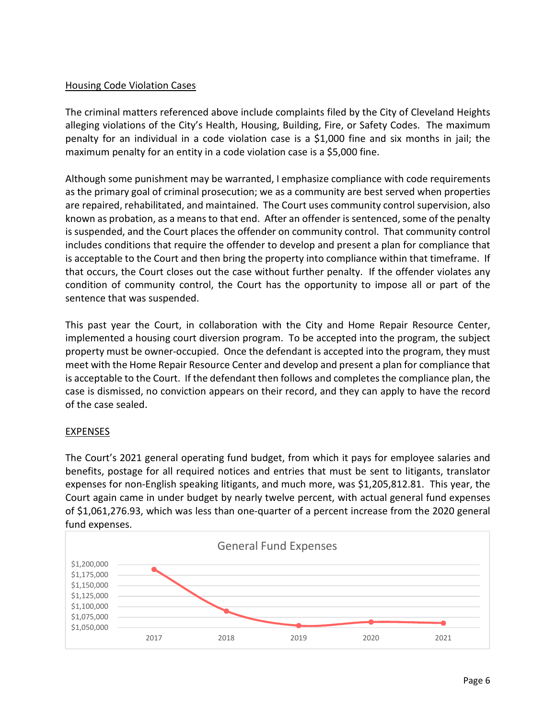## Housing Code Violation Cases

The criminal matters referenced above include complaints filed by the City of Cleveland Heights alleging violations of the City's Health, Housing, Building, Fire, or Safety Codes. The maximum penalty for an individual in a code violation case is a \$1,000 fine and six months in jail; the maximum penalty for an entity in a code violation case is a \$5,000 fine.

Although some punishment may be warranted, I emphasize compliance with code requirements as the primary goal of criminal prosecution; we as a community are best served when properties are repaired, rehabilitated, and maintained. The Court uses community control supervision, also known as probation, as a means to that end. After an offender is sentenced, some of the penalty is suspended, and the Court places the offender on community control. That community control includes conditions that require the offender to develop and present a plan for compliance that is acceptable to the Court and then bring the property into compliance within that timeframe. If that occurs, the Court closes out the case without further penalty. If the offender violates any condition of community control, the Court has the opportunity to impose all or part of the sentence that was suspended.

This past year the Court, in collaboration with the City and Home Repair Resource Center, implemented a housing court diversion program. To be accepted into the program, the subject property must be owner-occupied. Once the defendant is accepted into the program, they must meet with the Home Repair Resource Center and develop and present a plan for compliance that is acceptable to the Court. If the defendant then follows and completes the compliance plan, the case is dismissed, no conviction appears on their record, and they can apply to have the record of the case sealed.

# EXPENSES

The Court's 2021 general operating fund budget, from which it pays for employee salaries and benefits, postage for all required notices and entries that must be sent to litigants, translator expenses for non-English speaking litigants, and much more, was \$1,205,812.81. This year, the Court again came in under budget by nearly twelve percent, with actual general fund expenses of \$1,061,276.93, which was less than one-quarter of a percent increase from the 2020 general fund expenses.

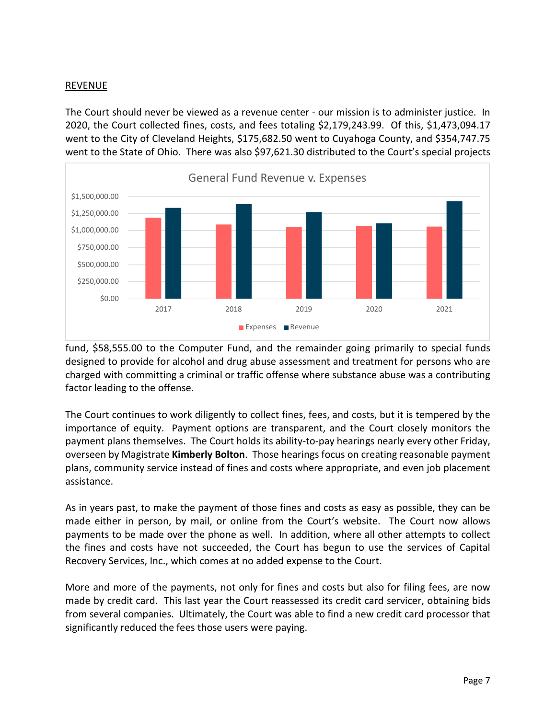#### REVENUE

The Court should never be viewed as a revenue center - our mission is to administer justice. In 2020, the Court collected fines, costs, and fees totaling \$2,179,243.99. Of this, \$1,473,094.17 went to the City of Cleveland Heights, \$175,682.50 went to Cuyahoga County, and \$354,747.75 went to the State of Ohio. There was also \$97,621.30 distributed to the Court's special projects



fund, \$58,555.00 to the Computer Fund, and the remainder going primarily to special funds designed to provide for alcohol and drug abuse assessment and treatment for persons who are charged with committing a criminal or traffic offense where substance abuse was a contributing factor leading to the offense.

The Court continues to work diligently to collect fines, fees, and costs, but it is tempered by the importance of equity. Payment options are transparent, and the Court closely monitors the payment plans themselves. The Court holds its ability-to-pay hearings nearly every other Friday, overseen by Magistrate **Kimberly Bolton**. Those hearings focus on creating reasonable payment plans, community service instead of fines and costs where appropriate, and even job placement assistance.

As in years past, to make the payment of those fines and costs as easy as possible, they can be made either in person, by mail, or online from the Court's website. The Court now allows payments to be made over the phone as well. In addition, where all other attempts to collect the fines and costs have not succeeded, the Court has begun to use the services of Capital Recovery Services, Inc., which comes at no added expense to the Court.

More and more of the payments, not only for fines and costs but also for filing fees, are now made by credit card. This last year the Court reassessed its credit card servicer, obtaining bids from several companies. Ultimately, the Court was able to find a new credit card processor that significantly reduced the fees those users were paying.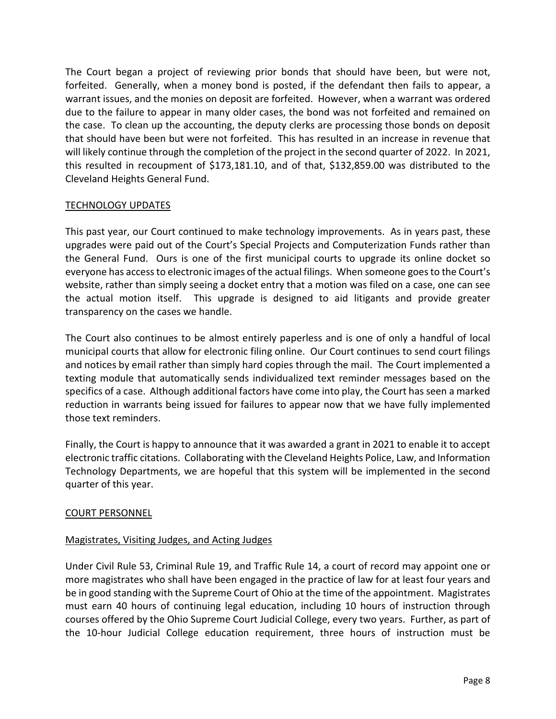The Court began a project of reviewing prior bonds that should have been, but were not, forfeited. Generally, when a money bond is posted, if the defendant then fails to appear, a warrant issues, and the monies on deposit are forfeited. However, when a warrant was ordered due to the failure to appear in many older cases, the bond was not forfeited and remained on the case. To clean up the accounting, the deputy clerks are processing those bonds on deposit that should have been but were not forfeited. This has resulted in an increase in revenue that will likely continue through the completion of the project in the second quarter of 2022. In 2021, this resulted in recoupment of \$173,181.10, and of that, \$132,859.00 was distributed to the Cleveland Heights General Fund.

### TECHNOLOGY UPDATES

This past year, our Court continued to make technology improvements. As in years past, these upgrades were paid out of the Court's Special Projects and Computerization Funds rather than the General Fund. Ours is one of the first municipal courts to upgrade its online docket so everyone has access to electronic images of the actual filings. When someone goes to the Court's website, rather than simply seeing a docket entry that a motion was filed on a case, one can see the actual motion itself. This upgrade is designed to aid litigants and provide greater transparency on the cases we handle.

The Court also continues to be almost entirely paperless and is one of only a handful of local municipal courts that allow for electronic filing online. Our Court continues to send court filings and notices by email rather than simply hard copies through the mail. The Court implemented a texting module that automatically sends individualized text reminder messages based on the specifics of a case. Although additional factors have come into play, the Court has seen a marked reduction in warrants being issued for failures to appear now that we have fully implemented those text reminders.

Finally, the Court is happy to announce that it was awarded a grant in 2021 to enable it to accept electronic traffic citations. Collaborating with the Cleveland Heights Police, Law, and Information Technology Departments, we are hopeful that this system will be implemented in the second quarter of this year.

#### COURT PERSONNEL

#### Magistrates, Visiting Judges, and Acting Judges

Under Civil Rule 53, Criminal Rule 19, and Traffic Rule 14, a court of record may appoint one or more magistrates who shall have been engaged in the practice of law for at least four years and be in good standing with the Supreme Court of Ohio at the time of the appointment. Magistrates must earn 40 hours of continuing legal education, including 10 hours of instruction through courses offered by the Ohio Supreme Court Judicial College, every two years. Further, as part of the 10-hour Judicial College education requirement, three hours of instruction must be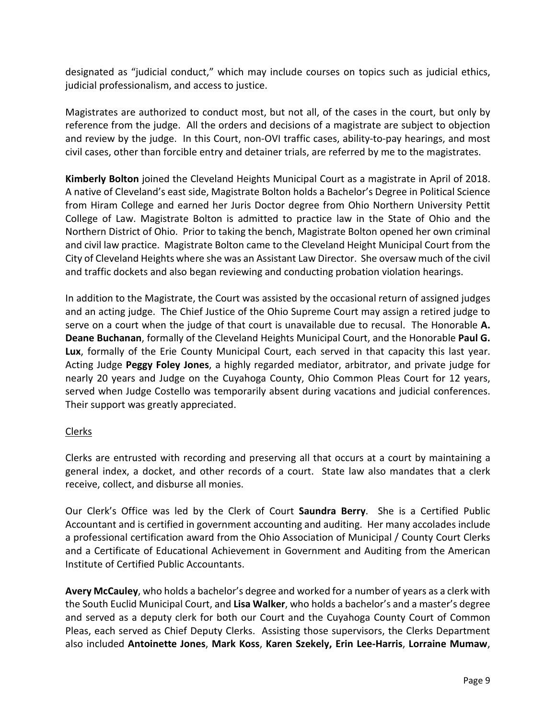designated as "judicial conduct," which may include courses on topics such as judicial ethics, judicial professionalism, and access to justice.

Magistrates are authorized to conduct most, but not all, of the cases in the court, but only by reference from the judge. All the orders and decisions of a magistrate are subject to objection and review by the judge. In this Court, non-OVI traffic cases, ability-to-pay hearings, and most civil cases, other than forcible entry and detainer trials, are referred by me to the magistrates.

**Kimberly Bolton** joined the Cleveland Heights Municipal Court as a magistrate in April of 2018. A native of Cleveland's east side, Magistrate Bolton holds a Bachelor's Degree in Political Science from Hiram College and earned her Juris Doctor degree from Ohio Northern University Pettit College of Law. Magistrate Bolton is admitted to practice law in the State of Ohio and the Northern District of Ohio. Prior to taking the bench, Magistrate Bolton opened her own criminal and civil law practice. Magistrate Bolton came to the Cleveland Height Municipal Court from the City of Cleveland Heights where she was an Assistant Law Director. She oversaw much of the civil and traffic dockets and also began reviewing and conducting probation violation hearings.

In addition to the Magistrate, the Court was assisted by the occasional return of assigned judges and an acting judge. The Chief Justice of the Ohio Supreme Court may assign a retired judge to serve on a court when the judge of that court is unavailable due to recusal. The Honorable **A. Deane Buchanan**, formally of the Cleveland Heights Municipal Court, and the Honorable **Paul G. Lux**, formally of the Erie County Municipal Court, each served in that capacity this last year. Acting Judge **Peggy Foley Jones**, a highly regarded mediator, arbitrator, and private judge for nearly 20 years and Judge on the Cuyahoga County, Ohio Common Pleas Court for 12 years, served when Judge Costello was temporarily absent during vacations and judicial conferences. Their support was greatly appreciated.

# Clerks

Clerks are entrusted with recording and preserving all that occurs at a court by maintaining a general index, a docket, and other records of a court. State law also mandates that a clerk receive, collect, and disburse all monies.

Our Clerk's Office was led by the Clerk of Court **Saundra Berry**. She is a Certified Public Accountant and is certified in government accounting and auditing. Her many accolades include a professional certification award from the Ohio Association of Municipal / County Court Clerks and a Certificate of Educational Achievement in Government and Auditing from the American Institute of Certified Public Accountants.

**Avery McCauley**, who holds a bachelor's degree and worked for a number of years as a clerk with the South Euclid Municipal Court, and **Lisa Walker**, who holds a bachelor's and a master's degree and served as a deputy clerk for both our Court and the Cuyahoga County Court of Common Pleas, each served as Chief Deputy Clerks. Assisting those supervisors, the Clerks Department also included **Antoinette Jones**, **Mark Koss**, **Karen Szekely, Erin Lee-Harris**, **Lorraine Mumaw**,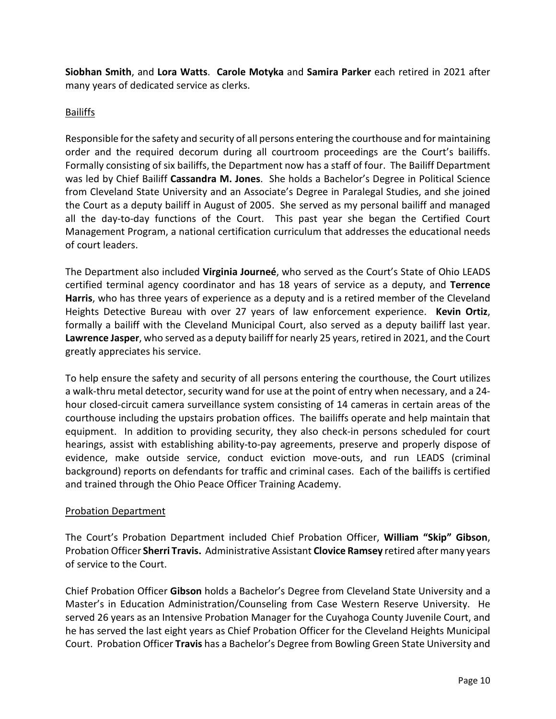**Siobhan Smith**, and **Lora Watts**. **Carole Motyka** and **Samira Parker** each retired in 2021 after many years of dedicated service as clerks.

# Bailiffs

Responsible for the safety and security of all persons entering the courthouse and for maintaining order and the required decorum during all courtroom proceedings are the Court's bailiffs. Formally consisting of six bailiffs, the Department now has a staff of four. The Bailiff Department was led by Chief Bailiff **Cassandra M. Jones**. She holds a Bachelor's Degree in Political Science from Cleveland State University and an Associate's Degree in Paralegal Studies, and she joined the Court as a deputy bailiff in August of 2005. She served as my personal bailiff and managed all the day-to-day functions of the Court. This past year she began the Certified Court Management Program, a national certification curriculum that addresses the educational needs of court leaders.

The Department also included **Virginia Journeé**, who served as the Court's State of Ohio LEADS certified terminal agency coordinator and has 18 years of service as a deputy, and **Terrence Harris**, who has three years of experience as a deputy and is a retired member of the Cleveland Heights Detective Bureau with over 27 years of law enforcement experience. **Kevin Ortiz**, formally a bailiff with the Cleveland Municipal Court, also served as a deputy bailiff last year. **Lawrence Jasper**, who served as a deputy bailiff for nearly 25 years, retired in 2021, and the Court greatly appreciates his service.

To help ensure the safety and security of all persons entering the courthouse, the Court utilizes a walk-thru metal detector, security wand for use at the point of entry when necessary, and a 24 hour closed-circuit camera surveillance system consisting of 14 cameras in certain areas of the courthouse including the upstairs probation offices. The bailiffs operate and help maintain that equipment. In addition to providing security, they also check-in persons scheduled for court hearings, assist with establishing ability-to-pay agreements, preserve and properly dispose of evidence, make outside service, conduct eviction move-outs, and run LEADS (criminal background) reports on defendants for traffic and criminal cases. Each of the bailiffs is certified and trained through the Ohio Peace Officer Training Academy.

# Probation Department

The Court's Probation Department included Chief Probation Officer, **William "Skip" Gibson**, Probation Officer **Sherri Travis.** Administrative Assistant **Clovice Ramsey** retired after many years of service to the Court.

Chief Probation Officer **Gibson** holds a Bachelor's Degree from Cleveland State University and a Master's in Education Administration/Counseling from Case Western Reserve University. He served 26 years as an Intensive Probation Manager for the Cuyahoga County Juvenile Court, and he has served the last eight years as Chief Probation Officer for the Cleveland Heights Municipal Court. Probation Officer **Travis** has a Bachelor's Degree from Bowling Green State University and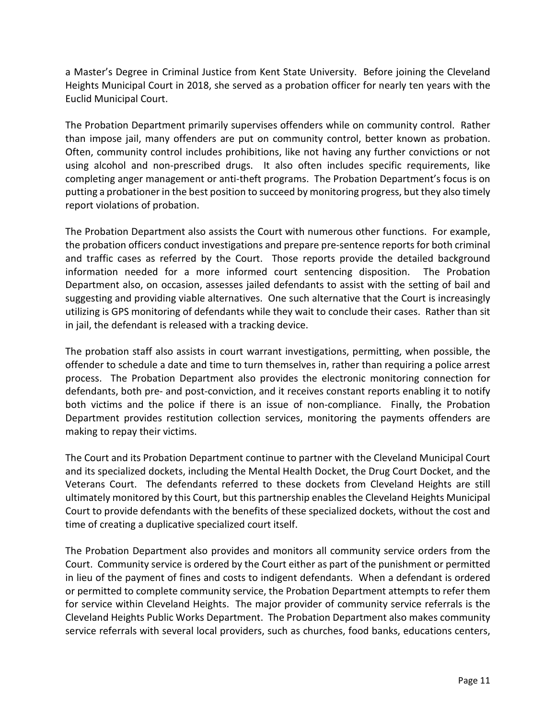a Master's Degree in Criminal Justice from Kent State University. Before joining the Cleveland Heights Municipal Court in 2018, she served as a probation officer for nearly ten years with the Euclid Municipal Court.

The Probation Department primarily supervises offenders while on community control. Rather than impose jail, many offenders are put on community control, better known as probation. Often, community control includes prohibitions, like not having any further convictions or not using alcohol and non-prescribed drugs. It also often includes specific requirements, like completing anger management or anti-theft programs. The Probation Department's focus is on putting a probationer in the best position to succeed by monitoring progress, but they also timely report violations of probation.

The Probation Department also assists the Court with numerous other functions. For example, the probation officers conduct investigations and prepare pre-sentence reports for both criminal and traffic cases as referred by the Court. Those reports provide the detailed background information needed for a more informed court sentencing disposition. The Probation Department also, on occasion, assesses jailed defendants to assist with the setting of bail and suggesting and providing viable alternatives. One such alternative that the Court is increasingly utilizing is GPS monitoring of defendants while they wait to conclude their cases. Rather than sit in jail, the defendant is released with a tracking device.

The probation staff also assists in court warrant investigations, permitting, when possible, the offender to schedule a date and time to turn themselves in, rather than requiring a police arrest process. The Probation Department also provides the electronic monitoring connection for defendants, both pre- and post-conviction, and it receives constant reports enabling it to notify both victims and the police if there is an issue of non-compliance. Finally, the Probation Department provides restitution collection services, monitoring the payments offenders are making to repay their victims.

The Court and its Probation Department continue to partner with the Cleveland Municipal Court and its specialized dockets, including the Mental Health Docket, the Drug Court Docket, and the Veterans Court. The defendants referred to these dockets from Cleveland Heights are still ultimately monitored by this Court, but this partnership enables the Cleveland Heights Municipal Court to provide defendants with the benefits of these specialized dockets, without the cost and time of creating a duplicative specialized court itself.

The Probation Department also provides and monitors all community service orders from the Court. Community service is ordered by the Court either as part of the punishment or permitted in lieu of the payment of fines and costs to indigent defendants. When a defendant is ordered or permitted to complete community service, the Probation Department attempts to refer them for service within Cleveland Heights. The major provider of community service referrals is the Cleveland Heights Public Works Department. The Probation Department also makes community service referrals with several local providers, such as churches, food banks, educations centers,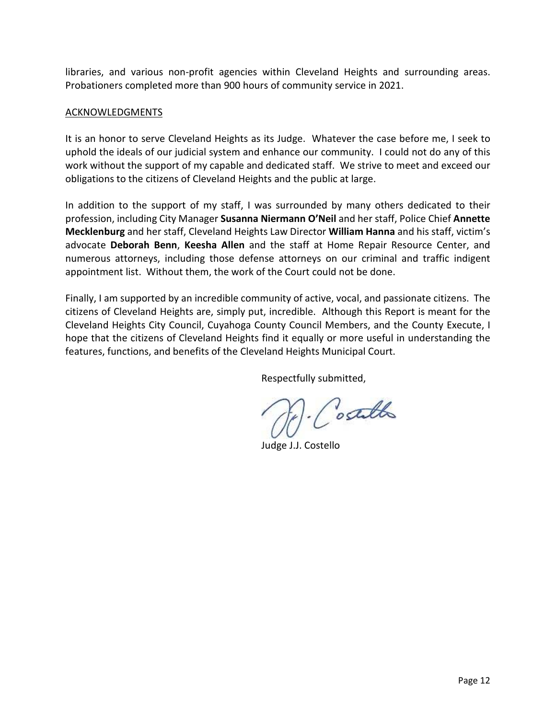libraries, and various non-profit agencies within Cleveland Heights and surrounding areas. Probationers completed more than 900 hours of community service in 2021.

#### ACKNOWLEDGMENTS

It is an honor to serve Cleveland Heights as its Judge. Whatever the case before me, I seek to uphold the ideals of our judicial system and enhance our community. I could not do any of this work without the support of my capable and dedicated staff. We strive to meet and exceed our obligations to the citizens of Cleveland Heights and the public at large.

In addition to the support of my staff, I was surrounded by many others dedicated to their profession, including City Manager **Susanna Niermann O'Neil** and her staff, Police Chief **Annette Mecklenburg** and her staff, Cleveland Heights Law Director **William Hanna** and his staff, victim's advocate **Deborah Benn**, **Keesha Allen** and the staff at Home Repair Resource Center, and numerous attorneys, including those defense attorneys on our criminal and traffic indigent appointment list. Without them, the work of the Court could not be done.

Finally, I am supported by an incredible community of active, vocal, and passionate citizens. The citizens of Cleveland Heights are, simply put, incredible. Although this Report is meant for the Cleveland Heights City Council, Cuyahoga County Council Members, and the County Execute, I hope that the citizens of Cleveland Heights find it equally or more useful in understanding the features, functions, and benefits of the Cleveland Heights Municipal Court.

Respectfully submitted,

. Costallo

Judge J.J. Costello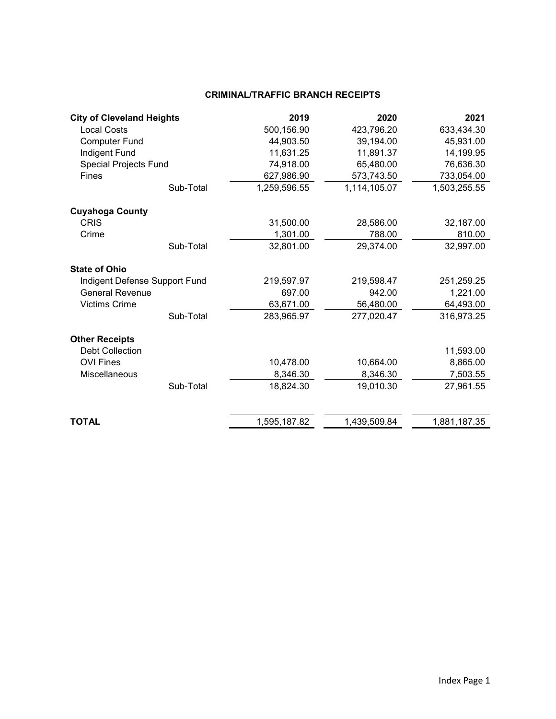#### **CRIMINAL/TRAFFIC BRANCH RECEIPTS**

| <b>City of Cleveland Heights</b> |           | 2019         | 2020         | 2021         |
|----------------------------------|-----------|--------------|--------------|--------------|
| <b>Local Costs</b>               |           | 500,156.90   | 423,796.20   | 633,434.30   |
| <b>Computer Fund</b>             |           | 44,903.50    | 39,194.00    | 45,931.00    |
| Indigent Fund                    |           | 11,631.25    | 11,891.37    | 14,199.95    |
| <b>Special Projects Fund</b>     |           | 74,918.00    | 65,480.00    | 76,636.30    |
| <b>Fines</b>                     |           | 627,986.90   | 573,743.50   | 733,054.00   |
|                                  | Sub-Total | 1,259,596.55 | 1,114,105.07 | 1,503,255.55 |
| <b>Cuyahoga County</b>           |           |              |              |              |
| <b>CRIS</b>                      |           | 31,500.00    | 28,586.00    | 32,187.00    |
| Crime                            |           | 1,301.00     | 788.00       | 810.00       |
|                                  | Sub-Total | 32,801.00    | 29,374.00    | 32,997.00    |
| <b>State of Ohio</b>             |           |              |              |              |
| Indigent Defense Support Fund    |           | 219,597.97   | 219,598.47   | 251,259.25   |
| <b>General Revenue</b>           |           | 697.00       | 942.00       | 1,221.00     |
| <b>Victims Crime</b>             |           | 63,671.00    | 56,480.00    | 64,493.00    |
|                                  | Sub-Total | 283,965.97   | 277,020.47   | 316,973.25   |
| <b>Other Receipts</b>            |           |              |              |              |
| <b>Debt Collection</b>           |           |              |              | 11,593.00    |
| <b>OVI Fines</b>                 |           | 10,478.00    | 10,664.00    | 8,865.00     |
| Miscellaneous                    |           | 8,346.30     | 8,346.30     | 7,503.55     |
|                                  | Sub-Total | 18,824.30    | 19,010.30    | 27,961.55    |
|                                  |           |              |              |              |
| TOTAL                            |           | 1,595,187.82 | 1,439,509.84 | 1,881,187.35 |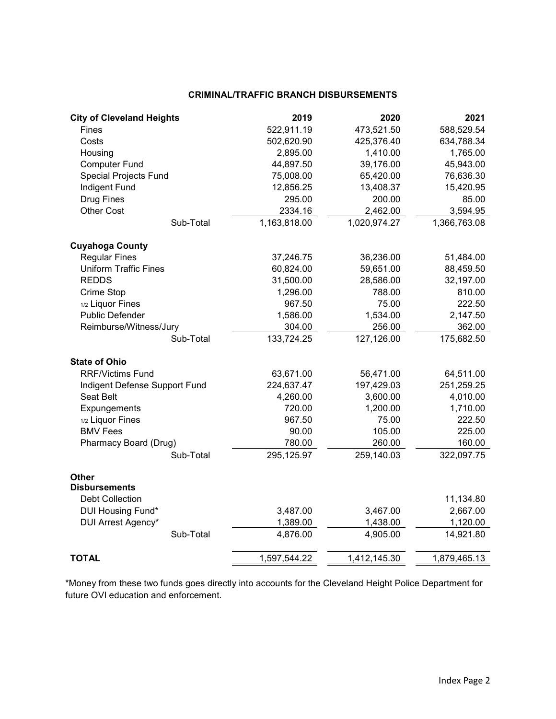#### **CRIMINAL/TRAFFIC BRANCH DISBURSEMENTS**

| <b>City of Cleveland Heights</b> | 2019         | 2020         | 2021         |
|----------------------------------|--------------|--------------|--------------|
| Fines                            | 522,911.19   | 473,521.50   | 588,529.54   |
| Costs                            | 502,620.90   | 425,376.40   | 634,788.34   |
| Housing                          | 2,895.00     | 1,410.00     | 1,765.00     |
| <b>Computer Fund</b>             | 44,897.50    | 39,176.00    | 45,943.00    |
| <b>Special Projects Fund</b>     | 75,008.00    | 65,420.00    | 76,636.30    |
| Indigent Fund                    | 12,856.25    | 13,408.37    | 15,420.95    |
| <b>Drug Fines</b>                | 295.00       | 200.00       | 85.00        |
| <b>Other Cost</b>                | 2334.16      | 2,462.00     | 3,594.95     |
| Sub-Total                        | 1,163,818.00 | 1,020,974.27 | 1,366,763.08 |
| <b>Cuyahoga County</b>           |              |              |              |
| <b>Regular Fines</b>             | 37,246.75    | 36,236.00    | 51,484.00    |
| <b>Uniform Traffic Fines</b>     | 60,824.00    | 59,651.00    | 88,459.50    |
| <b>REDDS</b>                     | 31,500.00    | 28,586.00    | 32,197.00    |
| Crime Stop                       | 1,296.00     | 788.00       | 810.00       |
| 1/2 Liquor Fines                 | 967.50       | 75.00        | 222.50       |
| <b>Public Defender</b>           | 1,586.00     | 1,534.00     | 2,147.50     |
| Reimburse/Witness/Jury           | 304.00       | 256.00       | 362.00       |
| Sub-Total                        | 133,724.25   | 127,126.00   | 175,682.50   |
| <b>State of Ohio</b>             |              |              |              |
| <b>RRF/Victims Fund</b>          | 63,671.00    | 56,471.00    | 64,511.00    |
| Indigent Defense Support Fund    | 224,637.47   | 197,429.03   | 251,259.25   |
| Seat Belt                        | 4,260.00     | 3,600.00     | 4,010.00     |
| Expungements                     | 720.00       | 1,200.00     | 1,710.00     |
| 1/2 Liquor Fines                 | 967.50       | 75.00        | 222.50       |
| <b>BMV Fees</b>                  | 90.00        | 105.00       | 225.00       |
| Pharmacy Board (Drug)            | 780.00       | 260.00       | 160.00       |
| Sub-Total                        | 295,125.97   | 259,140.03   | 322,097.75   |
| <b>Other</b>                     |              |              |              |
| <b>Disbursements</b>             |              |              |              |
| <b>Debt Collection</b>           |              |              | 11,134.80    |
| DUI Housing Fund*                | 3,487.00     | 3,467.00     | 2,667.00     |
| DUI Arrest Agency*               | 1,389.00     | 1,438.00     | 1,120.00     |
| Sub-Total                        | 4,876.00     | 4,905.00     | 14,921.80    |
| <b>TOTAL</b>                     | 1,597,544.22 | 1,412,145.30 | 1,879,465.13 |

\*Money from these two funds goes directly into accounts for the Cleveland Height Police Department for future OVI education and enforcement.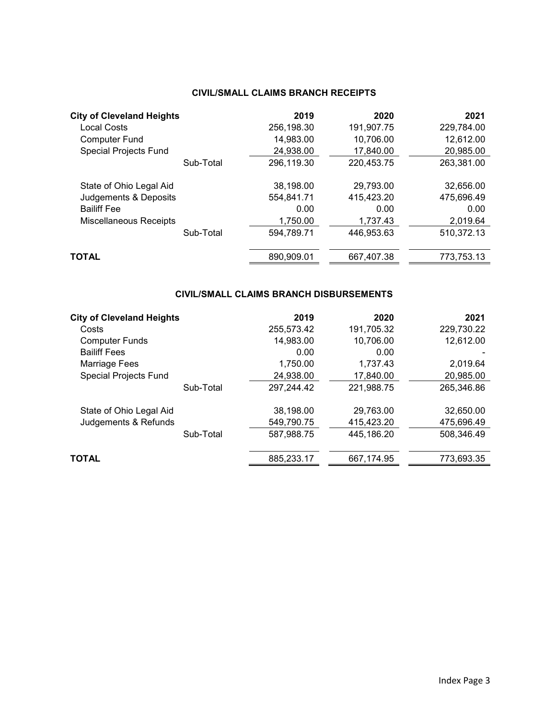# **CIVIL/SMALL CLAIMS BRANCH RECEIPTS**

| <b>City of Cleveland Heights</b> | 2019       | 2020       | 2021       |
|----------------------------------|------------|------------|------------|
| <b>Local Costs</b>               | 256,198.30 | 191,907.75 | 229,784.00 |
| <b>Computer Fund</b>             | 14,983.00  | 10,706.00  | 12,612.00  |
| <b>Special Projects Fund</b>     | 24,938.00  | 17,840.00  | 20,985.00  |
| Sub-Total                        | 296,119.30 | 220,453.75 | 263,381.00 |
| State of Ohio Legal Aid          | 38,198.00  | 29.793.00  | 32.656.00  |
| Judgements & Deposits            | 554.841.71 | 415,423.20 | 475.696.49 |
| <b>Bailiff Fee</b>               | 0.00       | 0.00       | 0.00       |
| <b>Miscellaneous Receipts</b>    | 1,750.00   | 1,737.43   | 2,019.64   |
| Sub-Total                        | 594,789.71 | 446,953.63 | 510,372.13 |
| <b>TOTAL</b>                     | 890,909.01 | 667,407.38 | 773,753.13 |

#### **CIVIL/SMALL CLAIMS BRANCH DISBURSEMENTS**

| <b>City of Cleveland Heights</b> |           | 2019       | 2020       | 2021       |
|----------------------------------|-----------|------------|------------|------------|
| Costs                            |           | 255,573.42 | 191,705.32 | 229,730.22 |
| <b>Computer Funds</b>            |           | 14,983.00  | 10,706.00  | 12,612.00  |
| <b>Bailiff Fees</b>              |           | 0.00       | 0.00       |            |
| Marriage Fees                    |           | 1,750.00   | 1.737.43   | 2.019.64   |
| <b>Special Projects Fund</b>     |           | 24,938.00  | 17,840.00  | 20,985.00  |
|                                  | Sub-Total | 297,244.42 | 221,988.75 | 265,346.86 |
| State of Ohio Legal Aid          |           | 38,198.00  | 29,763.00  | 32,650.00  |
| Judgements & Refunds             |           | 549,790.75 | 415.423.20 | 475,696.49 |
|                                  | Sub-Total | 587,988.75 | 445,186.20 | 508,346.49 |
| <b>TOTAL</b>                     |           | 885,233.17 | 667,174.95 | 773,693.35 |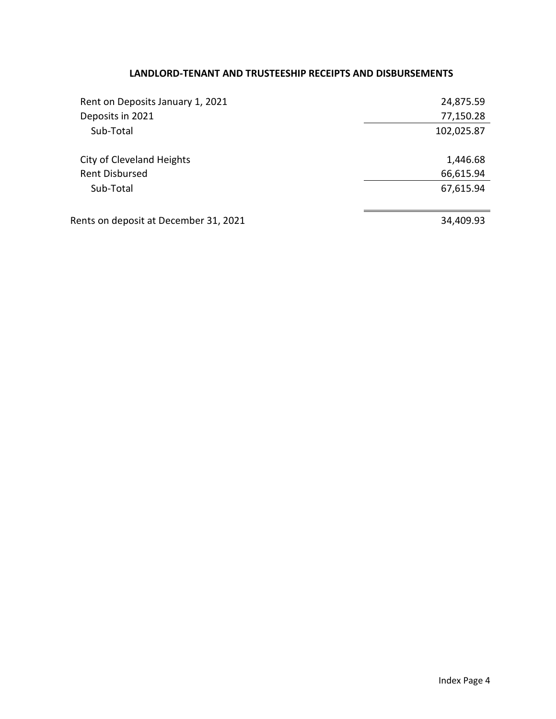# **LANDLORD-TENANT AND TRUSTEESHIP RECEIPTS AND DISBURSEMENTS**

| Rent on Deposits January 1, 2021      | 24,875.59  |
|---------------------------------------|------------|
| Deposits in 2021                      | 77,150.28  |
| Sub-Total                             | 102,025.87 |
| <b>City of Cleveland Heights</b>      | 1,446.68   |
| <b>Rent Disbursed</b>                 | 66,615.94  |
| Sub-Total                             | 67,615.94  |
|                                       |            |
| Rents on deposit at December 31, 2021 | 34,409.93  |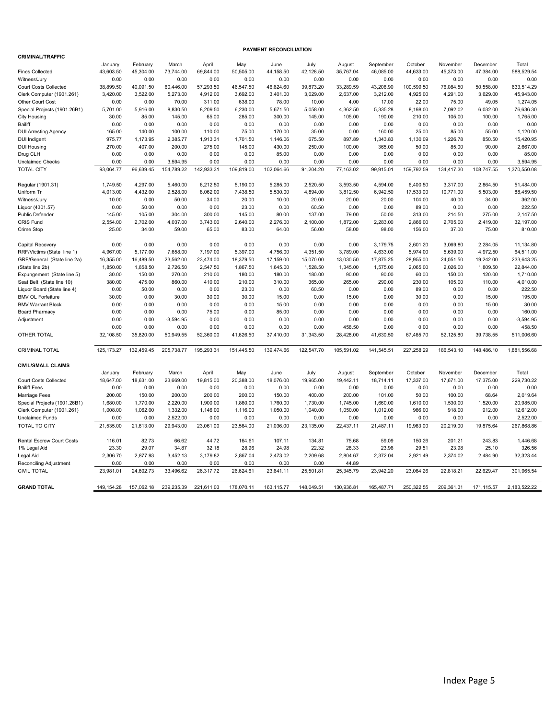| <b>CRIMINAL/TRAFFIC</b>                           |              |            |             |              |            |             |            |                |              |            |            |            |                       |
|---------------------------------------------------|--------------|------------|-------------|--------------|------------|-------------|------------|----------------|--------------|------------|------------|------------|-----------------------|
|                                                   | January      | February   | March       | April        | May        | June        | July       | August         | September    | October    | November   | December   | Total                 |
| <b>Fines Collected</b>                            | 43,603.50    | 45,304.00  | 73,744.00   | 69,844.00    | 50,505.00  | 44,158.50   | 42,128.50  | 35,767.04      | 46,085.00    | 44,633.00  | 45,373.00  | 47,384.00  | 588,529.54            |
| Witness/Jury                                      | 0.00         | 0.00       | 0.00        | 0.00         | 0.00       | 0.00        | 0.00       | 0.00           | 0.00         | 0.00       | 0.00       | 0.00       | 0.00                  |
| <b>Court Costs Collected</b>                      | 38,899.50    | 40,091.50  | 60,446.00   | 57,293.50    | 46,547.50  | 46,624.60   | 39,873.20  | 33,289.59      | 43,206.90    | 100,599.50 | 76,084.50  | 50,558.00  | 633,514.29            |
| Clerk Computer (1901.261)                         | 3,420.00     | 3,522.00   | 5,273.00    | 4,912.00     | 3,692.00   | 3,401.00    | 3,029.00   | 2,637.00       | 3,212.00     | 4,925.00   | 4,291.00   | 3,629.00   | 45.943.00             |
| <b>Other Court Cost</b>                           | 0.00         | 0.00       | 70.00       | 311.00       | 638.00     | 78.00       | 10.00      | 4.00           | 17.00        | 22.00      | 75.00      | 49.05      | 1,274.05              |
| Special Projects (1901.26B1)                      | 5.701.00     | 5,916.00   | 8.830.50    | 8,209.50     | 6,230.00   | 5.671.50    | 5.058.00   | 4,362.50       | 5.335.28     | 8,198.00   | 7.092.02   | 6.032.00   | 76.636.30             |
| <b>City Housing</b>                               | 30.00        | 85.00      | 145.00      | 65.00        | 285.00     | 300.00      | 145.00     | 105.00         | 190.00       | 210.00     | 105.00     | 100.00     | 1,765.00              |
| Bailiff                                           | 0.00         | 0.00       | 0.00        | 0.00         | 0.00       | 0.00        | 0.00       | 0.00           | 0.00         | 0.00       | 0.00       | 0.00       | 0.00                  |
| <b>DUI Arresting Agency</b>                       | 165.00       | 140.00     | 100.00      | 110.00       | 75.00      | 170.00      | 35.00      | 0.00           | 160.00       | 25.00      | 85.00      | 55.00      | 1,120.00              |
| <b>DUI Indigent</b>                               | 975.77       | 1,173.95   | 2,385.77    | 1,913.31     | 1,701.50   | 1,146.06    | 675.50     | 897.89         | 1,343.83     | 1,130.09   | 1,226.78   | 850.50     | 15,420.95             |
| <b>DUI Housing</b>                                | 270.00       | 407.00     | 200.00      | 275.00       | 145.00     | 430.00      | 250.00     | 100.00         | 365.00       | 50.00      | 85.00      | 90.00      | 2,667.00              |
| Drug CLH                                          | 0.00         | 0.00       | 0.00        | 0.00         | 0.00       | 85.00       | 0.00       | 0.00           | 0.00         | 0.00       | 0.00       | 0.00       | 85.00                 |
| <b>Unclaimed Checks</b>                           | 0.00         | 0.00       | 3,594.95    | 0.00         | 0.00       | 0.00        | 0.00       | 0.00           | 0.00         | 0.00       | 0.00       | 0.00       | 3,594.95              |
| <b>TOTAL CITY</b>                                 | 93,064.77    | 96,639.45  | 154,789.22  | 142,933.31   | 109,819.00 | 102,064.66  | 91,204.20  | 77,163.02      | 99,915.01    | 159,792.59 | 134,417.30 | 108,747.55 | 1,370,550.08          |
|                                                   |              |            |             |              |            |             |            |                |              |            |            |            |                       |
| Regular (1901.31)                                 | 1,749.50     | 4,297.00   | 5,460.00    | 6,212.50     | 5,190.00   | 5,285.00    | 2,520.50   | 3,593.50       | 4,594.00     | 6,400.50   | 3,317.00   | 2,864.50   | 51,484.00             |
| Uniform Tr                                        | 4,013.00     | 4,432.00   | 9,528.00    | 8,062.00     | 7,438.50   | 5,530.00    | 4,894.00   | 3,812.50       | 6,942.50     | 17,533.00  | 10,771.00  | 5,503.00   | 88,459.50             |
| Witness/Jury                                      | 10.00        | 0.00       | 50.00       | 34.00        | 20.00      | 10.00       | 20.00      | 20.00          | 20.00        | 104.00     | 40.00      | 34.00      | 362.00                |
| Liquor (4301.57)                                  | 0.00         | 50.00      | 0.00        | 0.00         | 23.00      | 0.00        | 60.50      | 0.00           | 0.00         | 89.00      | 0.00       | 0.00       | 222.50                |
| <b>Public Defender</b>                            | 145.00       | 105.00     | 304.00      | 300.00       | 145.00     | 80.00       | 137.00     | 79.00          | 50.00        | 313.00     | 214.50     | 275.00     | 2.147.50              |
| <b>CRIS Fund</b>                                  | 2,554.00     | 2,702.00   | 4,037.00    | 3,743.00     | 2,640.00   | 2,276.00    | 2,100.00   | 1,872.00       | 2,283.00     | 2,866.00   | 2,705.00   | 2,419.00   | 32,197.00             |
| Crime Stop                                        | 25.00        | 34.00      | 59.00       | 65.00        | 83.00      | 64.00       | 56.00      | 58.00          | 98.00        | 156.00     | 37.00      | 75.00      | 810.00                |
|                                                   |              |            |             |              |            |             |            |                |              |            |            |            |                       |
| Capital Recovery                                  | 0.00         | 0.00       | 0.00        | 0.00         | 0.00       | 0.00        | 0.00       | 0.00           | 3,179.75     | 2,601.20   | 3,069.80   | 2,284.05   | 11,134.80             |
| RRF/Victims (State line 1)                        | 4,967.00     | 5,177.00   | 7,658.00    | 7,197.00     | 5,397.00   | 4,756.00    | 4,351.50   | 3,789.00       | 4,633.00     | 5,974.00   | 5,639.00   | 4,972.50   | 64,511.00             |
| GRF/General (State line 2a)                       | 16,355.00    | 16,489.50  | 23,562.00   | 23,474.00    | 18,379.50  | 17,159.00   | 15,070.00  | 13,030.50      | 17,875.25    | 28,955.00  | 24,051.50  | 19,242.00  | 233,643.25            |
| (State line 2b)                                   | 1,850.00     | 1,858.50   | 2,726.50    | 2,547.50     | 1,867.50   | 1,645.00    | 1,528.50   | 1,345.00       | 1,575.00     | 2,065.00   | 2,026.00   | 1,809.50   | 22,844.00             |
| Expungement (State line 5)                        | 30.00        | 150.00     | 270.00      | 210.00       | 180.00     | 180.00      | 180.00     | 90.00          | 90.00        | 60.00      | 150.00     | 120.00     | 1,710.00              |
| Seat Belt (State line 10)                         | 380.00       | 475.00     | 860.00      | 410.00       | 210.00     | 310.00      | 365.00     | 265.00         | 290.00       | 230.00     | 105.00     | 110.00     | 4,010.00              |
| Liquor Board (State line 4)                       | 0.00         | 50.00      | 0.00        | 0.00         | 23.00      | 0.00        | 60.50      | 0.00           | 0.00         | 89.00      | 0.00       | 0.00       | 222.50                |
| <b>BMV OL Forfeiture</b>                          | 30.00        | 0.00       | 30.00       | 30.00        | 30.00      | 15.00       | 0.00       | 15.00          | 0.00         | 30.00      | 0.00       | 15.00      | 195.00                |
|                                                   | 0.00         | 0.00       | 0.00        | 0.00         | 0.00       | 15.00       | 0.00       | 0.00           | 0.00         | 0.00       | 0.00       | 15.00      | 30.00                 |
| <b>BMV Warrant Block</b><br><b>Board Pharmacy</b> | 0.00         | 0.00       | 0.00        | 75.00        | 0.00       | 85.00       | 0.00       | 0.00           | 0.00         | 0.00       | 0.00       | 0.00       | 160.00                |
|                                                   | 0.00         | 0.00       | $-3,594.95$ |              | 0.00       | 0.00        | 0.00       |                |              | 0.00       | 0.00       | 0.00       |                       |
| Adjustment                                        | 0.00         | 0.00       | 0.00        | 0.00<br>0.00 | 0.00       | 0.00        | 0.00       | 0.00<br>458.50 | 0.00<br>0.00 | 0.00       | 0.00       | 0.00       | $-3,594.95$<br>458.50 |
| OTHER TOTAL                                       | 32,108.50    | 35,820.00  | 50,949.55   | 52,360.00    | 41,626.50  | 37,410.00   | 31,343.50  | 28,428.00      | 41,630.50    | 67,465.70  | 52,125.80  | 39,738.55  | 511,006.60            |
|                                                   |              |            |             |              |            |             |            |                |              |            |            |            |                       |
| <b>CRIMINAL TOTAL</b>                             | 125, 173. 27 | 132,459.45 | 205,738.77  | 195,293.31   | 151,445.50 | 139,474.66  | 122,547.70 | 105,591.02     | 141,545.51   | 227,258.29 | 186,543.10 | 148,486.10 | 1,881,556.68          |
|                                                   |              |            |             |              |            |             |            |                |              |            |            |            |                       |
| <b>CIVIL/SMALL CLAIMS</b>                         |              |            |             |              |            |             |            |                |              |            |            |            |                       |
|                                                   | January      | February   | March       | April        | May        | June        | July       | August         | September    | October    | November   | December   | Total                 |
| <b>Court Costs Collected</b>                      | 18,647.00    | 18,631.00  | 23,669.00   | 19,815.00    | 20,388.00  | 18,076.00   | 19,965.00  | 19,442.11      | 18,714.11    | 17,337.00  | 17,671.00  | 17,375.00  | 229,730.22            |
| <b>Bailiff Fees</b>                               | 0.00         | 0.00       | 0.00        | 0.00         | 0.00       | 0.00        | 0.00       | 0.00           | 0.00         | 0.00       | 0.00       | 0.00       | 0.00                  |
|                                                   | 200.00       | 150.00     | 200.00      | 200.00       | 200.00     | 150.00      | 400.00     | 200.00         | 101.00       | 50.00      | 100.00     | 68.64      | 2,019.64              |
| Marriage Fees<br>Special Projects (1901.26B1)     | 1,680.00     | 1,770.00   | 2,220.00    | 1,900.00     | 1,860.00   | 1,760.00    | 1,730.00   | 1,745.00       | 1,660.00     | 1,610.00   | 1,530.00   | 1,520.00   | 20,985.00             |
|                                                   |              |            |             |              |            |             |            |                |              |            |            |            |                       |
| Clerk Computer (1901.261)                         | 1,008.00     | 1,062.00   | 1,332.00    | 1,146.00     | 1,116.00   | 1,050.00    | 1,040.00   | 1,050.00       | 1,012.00     | 966.00     | 918.00     | 912.00     | 12,612.00             |
| <b>Unclaimed Funds</b>                            | 0.00         | 0.00       | 2,522.00    | 0.00         | 0.00       | 0.00        | 0.00       | 0.00           | 0.00         | 0.00       | 0.00       | 0.00       | 2,522.00              |
| <b>TOTAL TO CITY</b>                              | 21,535.00    | 21,613.00  | 29,943.00   | 23,061.00    | 23,564.00  | 21,036.00   | 23,135.00  | 22,437.11      | 21,487.11    | 19,963.00  | 20,219.00  | 19,875.64  | 267,868.86            |
|                                                   |              |            |             |              |            |             |            |                |              |            |            |            |                       |
| <b>Rental Escrow Court Costs</b>                  | 116.01       | 82.73      | 66.62       | 44.72        | 164.61     | 107.11      | 134.81     | 75.68          | 59.09        | 150.26     | 201.21     | 243.83     | 1,446.68              |
| 1% Legal Aid                                      | 23.30        | 29.07      | 34.87       | 32.18        | 28.96      | 24.98       | 22.32      | 28.33          | 23.96        | 29.51      | 23.98      | 25.10      | 326.56                |
| Legal Aid                                         | 2,306.70     | 2,877.93   | 3,452.13    | 3,179.82     | 2,867.04   | 2,473.02    | 2,209.68   | 2,804.67       | 2,372.04     | 2,921.49   | 2,374.02   | 2,484.90   | 32,323.44             |
| Reconciling Adjustment                            | 0.00         | 0.00       | 0.00        | 0.00         | 0.00       | 0.00        | 0.00       | 44.89          |              |            |            |            |                       |
| <b>CIVIL TOTAL</b>                                | 23,981.01    | 24,602.73  | 33,496.62   | 26,317.72    | 26,624.61  | 23,641.11   | 25,501.81  | 25,345.79      | 23,942.20    | 23,064.26  | 22,818.21  | 22,629.47  | 301,965.54            |
|                                                   |              |            |             |              |            |             |            |                |              |            |            |            |                       |
| <b>GRAND TOTAL</b>                                | 149,154.28   | 157,062.18 | 239.235.39  | 221,611.03   | 178,070.11 | 163, 115.77 | 148.049.51 | 130,936.81     | 165,487.71   | 250.322.55 | 209,361.31 | 171,115.57 | 2,183,522.22          |

**PAYMENT RECONCILIATION**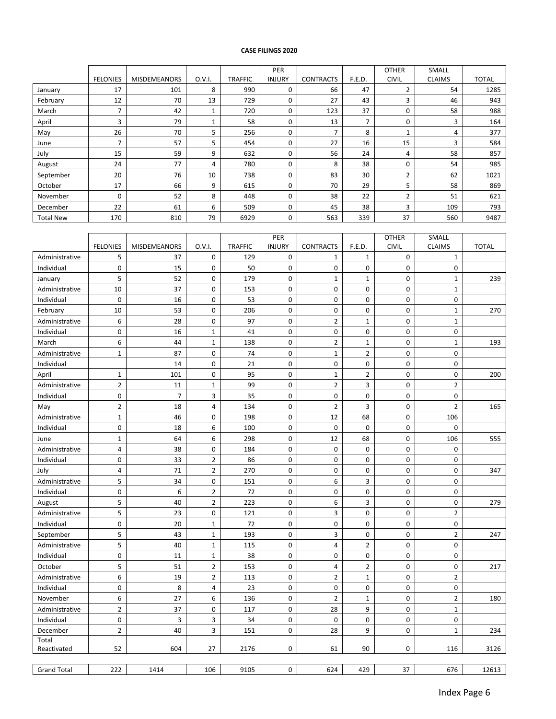#### **CASE FILINGS 2020**

|                  |                 |                     |        |                | PER           |                  |        | <b>OTHER</b>   | <b>SMALL</b>  |              |
|------------------|-----------------|---------------------|--------|----------------|---------------|------------------|--------|----------------|---------------|--------------|
|                  | <b>FELONIES</b> | <b>MISDEMEANORS</b> | O.V.I. | <b>TRAFFIC</b> | <b>INJURY</b> | <b>CONTRACTS</b> | F.E.D. | <b>CIVIL</b>   | <b>CLAIMS</b> | <b>TOTAL</b> |
| January          | 17              | 101                 | 8      | 990            | 0             | 66               | 47     | $\overline{2}$ | 54            | 1285         |
| February         | 12              | 70                  | 13     | 729            | 0             | 27               | 43     | 3              | 46            | 943          |
| March            | ⇁               | 42                  | 1      | 720            | 0             | 123              | 37     | 0              | 58            | 988          |
| April            | 3               | 79                  | 1      | 58             | 0             | 13               |        | 0              | 3             | 164          |
| May              | 26              | 70                  | 5      | 256            | 0             |                  | 8      |                | 4             | 377          |
| June             |                 | 57                  | 5      | 454            | 0             | 27               | 16     | 15             | 3             | 584          |
| July             | 15              | 59                  | 9      | 632            | 0             | 56               | 24     | 4              | 58            | 857          |
| August           | 24              | 77                  | 4      | 780            | 0             | 8                | 38     | 0              | 54            | 985          |
| September        | 20              | 76                  | 10     | 738            | 0             | 83               | 30     | $\overline{2}$ | 62            | 1021         |
| October          | 17              | 66                  | 9      | 615            | 0             | 70               | 29     | 5              | 58            | 869          |
| November         | $\Omega$        | 52                  | 8      | 448            | 0             | 38               | 22     | 2              | 51            | 621          |
| December         | 22              | 61                  | 6      | 509            | 0             | 45               | 38     | 3              | 109           | 793          |
| <b>Total New</b> | 170             | 810                 | 79     | 6929           | 0             | 563              | 339    | 37             | 560           | 9487         |

|                    |                 |                     |                |                | PER           |                         |                | <b>OTHER</b> | SMALL          |              |
|--------------------|-----------------|---------------------|----------------|----------------|---------------|-------------------------|----------------|--------------|----------------|--------------|
|                    | <b>FELONIES</b> | <b>MISDEMEANORS</b> | 0.V.I.         | <b>TRAFFIC</b> | <b>INJURY</b> | <b>CONTRACTS</b>        | F.E.D.         | CIVIL        | <b>CLAIMS</b>  | <b>TOTAL</b> |
| Administrative     | 5               | 37                  | 0              | 129            | 0             | 1                       | $\mathbf 1$    | 0            | $\mathbf 1$    |              |
| Individual         | $\mathbf 0$     | 15                  | 0              | 50             | 0             | 0                       | 0              | $\mathbf 0$  | 0              |              |
| January            | 5               | 52                  | 0              | 179            | $\mathbf 0$   | $\mathbf 1$             | $\mathbf 1$    | $\pmb{0}$    | $\mathbf 1$    | 239          |
| Administrative     | 10              | 37                  | 0              | 153            | $\mathsf 0$   | 0                       | 0              | $\pmb{0}$    | $\mathbf 1$    |              |
| Individual         | $\mathbf 0$     | 16                  | 0              | 53             | 0             | 0                       | $\mathbf 0$    | $\mathbf 0$  | 0              |              |
| February           | 10              | 53                  | 0              | 206            | 0             | 0                       | 0              | 0            | $\mathbf{1}$   | 270          |
| Administrative     | 6               | 28                  | 0              | 97             | 0             | $\overline{2}$          | $\mathbf{1}$   | $\mathbf 0$  | $\mathbf{1}$   |              |
| Individual         | 0               | 16                  | $\mathbf 1$    | 41             | $\mathbf 0$   | 0                       | 0              | $\mathbf 0$  | 0              |              |
| March              | 6               | 44                  | $\mathbf 1$    | 138            | 0             | $\overline{\mathbf{c}}$ | $\mathbf 1$    | 0            | $\mathbf 1$    | 193          |
| Administrative     | $\mathbf{1}$    | 87                  | 0              | 74             | 0             | $\mathbf{1}$            | $\overline{2}$ | $\mathbf 0$  | 0              |              |
| Individual         |                 | 14                  | 0              | 21             | 0             | 0                       | 0              | $\pmb{0}$    | $\pmb{0}$      |              |
| April              | $\mathbf{1}$    | 101                 | 0              | 95             | 0             | $\mathbf 1$             | $\overline{2}$ | $\mathbf 0$  | 0              | 200          |
| Administrative     | $\overline{2}$  | 11                  | $\mathbf 1$    | 99             | 0             | $\overline{2}$          | 3              | $\mathbf 0$  | $\overline{2}$ |              |
| Individual         | $\mathbf 0$     | $\overline{7}$      | 3              | 35             | 0             | 0                       | 0              | $\pmb{0}$    | $\pmb{0}$      |              |
| May                | $\overline{2}$  | 18                  | 4              | 134            | 0             | $\overline{2}$          | 3              | $\mathbf 0$  | $\overline{2}$ | 165          |
| Administrative     | $\mathbf 1$     | 46                  | 0              | 198            | 0             | 12                      | 68             | $\pmb{0}$    | 106            |              |
| Individual         | $\mathbf 0$     | 18                  | 6              | 100            | 0             | $\mathbf 0$             | $\mathbf 0$    | $\mathbf 0$  | $\mathbf 0$    |              |
| June               | $\mathbf 1$     | 64                  | 6              | 298            | 0             | 12                      | 68             | $\mathbf 0$  | 106            | 555          |
| Administrative     | $\overline{4}$  | 38                  | 0              | 184            | 0             | 0                       | 0              | 0            | 0              |              |
| Individual         | $\mathbf 0$     | 33                  | $\overline{2}$ | 86             | 0             | 0                       | 0              | 0            | 0              |              |
| July               | $\overline{4}$  | 71                  | $\overline{2}$ | 270            | 0             | 0                       | 0              | $\pmb{0}$    | $\pmb{0}$      | 347          |
| Administrative     | 5               | 34                  | 0              | 151            | $\mathsf 0$   | 6                       | 3              | $\Omega$     | 0              |              |
| Individual         | $\mathbf 0$     | 6                   | $\mathbf 2$    | 72             | 0             | 0                       | 0              | $\mathbf 0$  | $\pmb{0}$      |              |
| August             | 5               | 40                  | $\overline{2}$ | 223            | 0             | 6                       | 3              | 0            | $\pmb{0}$      | 279          |
| Administrative     | 5               | 23                  | 0              | 121            | 0             | 3                       | 0              | 0            | $\overline{2}$ |              |
| Individual         | 0               | 20                  | $\mathbf 1$    | 72             | 0             | 0                       | 0              | 0            | 0              |              |
| September          | 5               | 43                  | $\mathbf 1$    | 193            | 0             | 3                       | 0              | $\pmb{0}$    | $\overline{2}$ | 247          |
| Administrative     | 5               | 40                  | $\mathbf 1$    | 115            | 0             | 4                       | $\overline{2}$ | $\mathbf 0$  | $\mathbf 0$    |              |
| Individual         | $\mathbf 0$     | 11                  | $\mathbf 1$    | 38             | 0             | 0                       | 0              | $\pmb{0}$    | $\pmb{0}$      |              |
| October            | 5               | 51                  | $\overline{2}$ | 153            | 0             | 4                       | 2              | $\mathbf 0$  | $\mathbf 0$    | 217          |
| Administrative     | 6               | 19                  | 2              | 113            | 0             | $\overline{2}$          | $\mathbf 1$    | 0            | $\overline{2}$ |              |
| Individual         | $\mathbf 0$     | 8                   | 4              | 23             | 0             | 0                       | 0              | $\pmb{0}$    | 0              |              |
| November           | 6               | 27                  | 6              | 136            | 0             | $\overline{2}$          | $\mathbf 1$    | $\mathbf 0$  | $\overline{2}$ | 180          |
| Administrative     | $\overline{2}$  | 37                  | 0              | 117            | $\mathsf 0$   | 28                      | 9              | $\pmb{0}$    | $\mathbf 1$    |              |
| Individual         | 0               | 3                   | 3              | 34             | 0             | $\mathbf 0$             | 0              | 0            | 0              |              |
| December           | $\overline{2}$  | 40                  | 3              | 151            | 0             | 28                      | 9              | 0            | $\mathbf{1}$   | 234          |
| Total              |                 |                     |                |                |               |                         |                |              |                |              |
| Reactivated        | 52              | 604                 | 27             | 2176           | 0             | 61                      | 90             | 0            | 116            | 3126         |
|                    |                 |                     |                |                |               |                         |                |              |                |              |
| <b>Grand Total</b> | 222             | 1414                | 106            | 9105           | 0             | 624                     | 429            | 37           | 676            | 12613        |